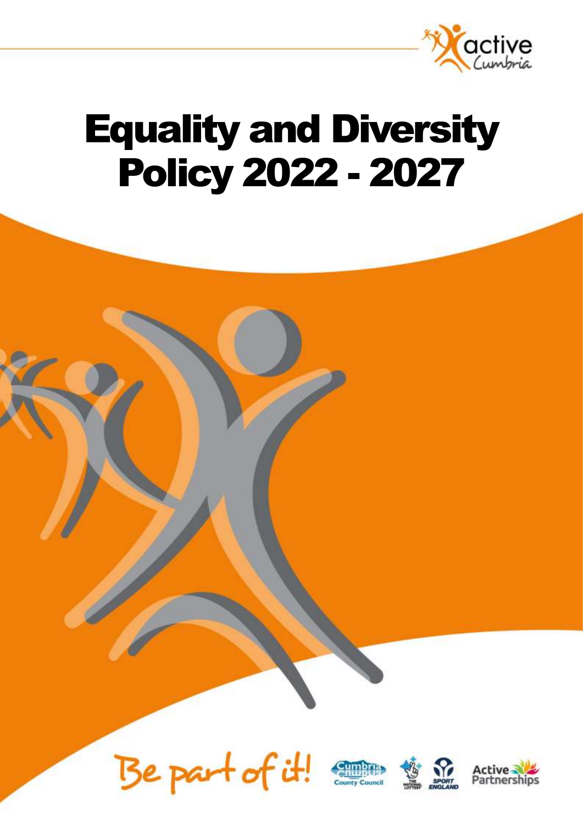

# Equality and Diversity Policy 2022 - 2027







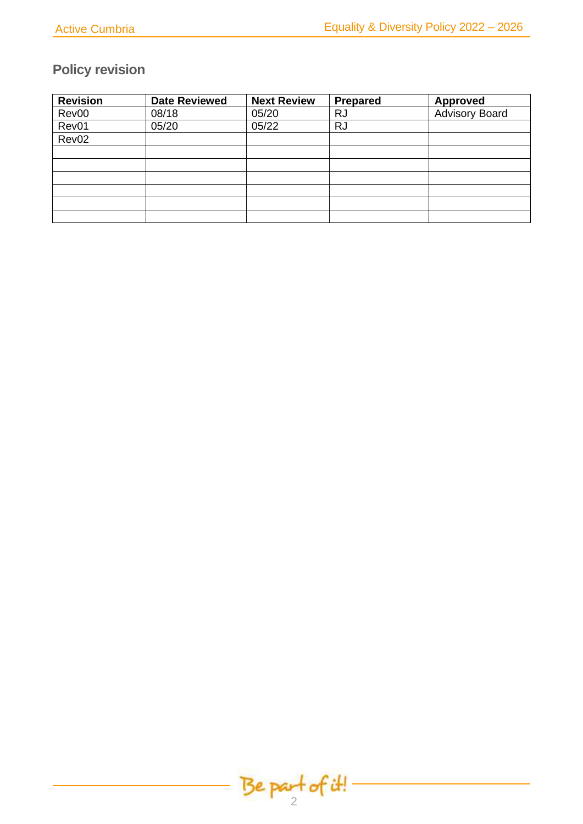#### **Policy revision**

| <b>Revision</b> | <b>Date Reviewed</b> | <b>Next Review</b> | <b>Prepared</b> | Approved              |
|-----------------|----------------------|--------------------|-----------------|-----------------------|
| Rev00           | 08/18                | 05/20              | <b>RJ</b>       | <b>Advisory Board</b> |
| Rev01           | 05/20                | 05/22              | <b>RJ</b>       |                       |
| Rev02           |                      |                    |                 |                       |
|                 |                      |                    |                 |                       |
|                 |                      |                    |                 |                       |
|                 |                      |                    |                 |                       |
|                 |                      |                    |                 |                       |
|                 |                      |                    |                 |                       |
|                 |                      |                    |                 |                       |

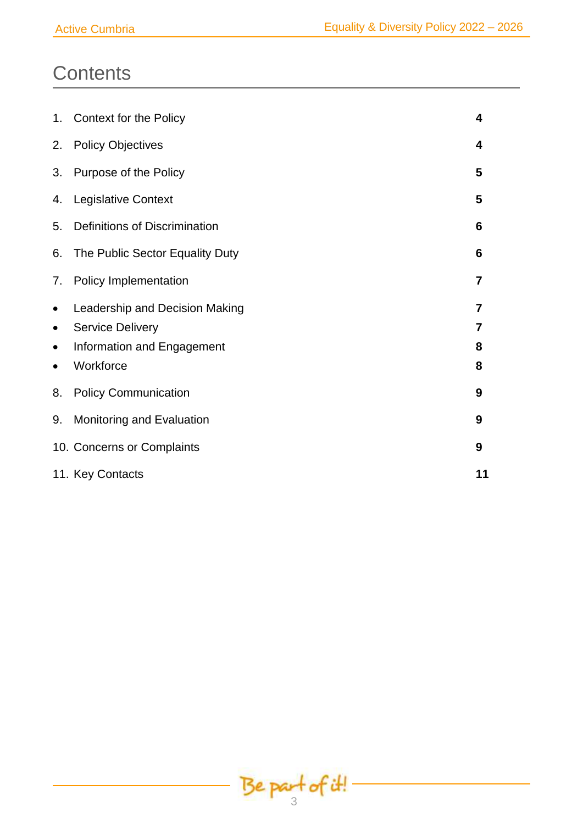### **Contents**

| 1.                                       | <b>Context for the Policy</b>                                                                        | 4                             |
|------------------------------------------|------------------------------------------------------------------------------------------------------|-------------------------------|
| 2.                                       | <b>Policy Objectives</b>                                                                             | 4                             |
| 3.                                       | Purpose of the Policy                                                                                | 5                             |
| 4.                                       | Legislative Context                                                                                  | 5                             |
| 5.                                       | <b>Definitions of Discrimination</b>                                                                 | 6                             |
| 6.                                       | The Public Sector Equality Duty                                                                      | 6                             |
| 7.                                       | Policy Implementation                                                                                | 7                             |
| ٠<br>$\bullet$<br>$\bullet$<br>$\bullet$ | Leadership and Decision Making<br><b>Service Delivery</b><br>Information and Engagement<br>Workforce | 7<br>$\overline{7}$<br>8<br>8 |
| 8.                                       | <b>Policy Communication</b>                                                                          | 9                             |
| 9.                                       | Monitoring and Evaluation                                                                            | 9                             |
|                                          | 10. Concerns or Complaints                                                                           | 9                             |
|                                          | 11. Key Contacts                                                                                     | 11                            |

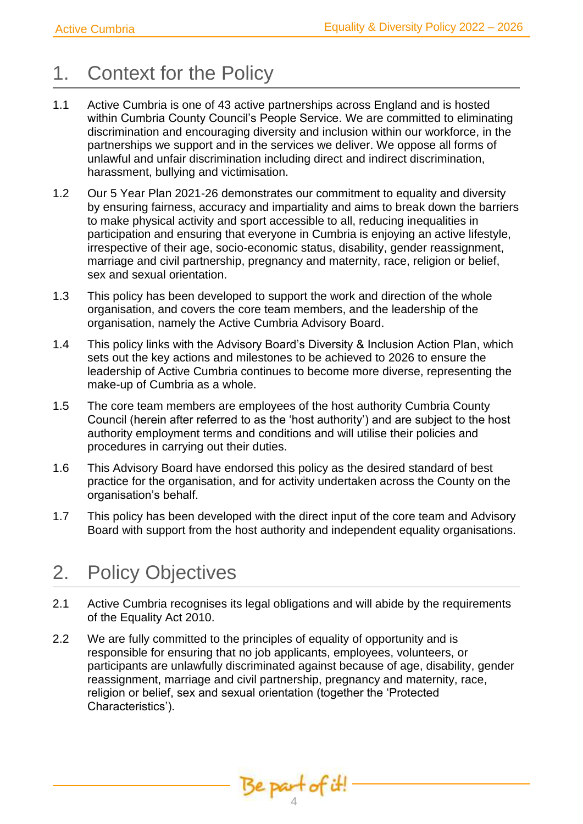# 1. Context for the Policy

- 1.1 Active Cumbria is one of 43 active partnerships across England and is hosted within Cumbria County Council's People Service. We are committed to eliminating discrimination and encouraging diversity and inclusion within our workforce, in the partnerships we support and in the services we deliver. We oppose all forms of unlawful and unfair discrimination including direct and indirect discrimination, harassment, bullying and victimisation.
- 1.2 Our 5 Year Plan 2021-26 demonstrates our commitment to equality and diversity by ensuring fairness, accuracy and impartiality and aims to break down the barriers to make physical activity and sport accessible to all, reducing inequalities in participation and ensuring that everyone in Cumbria is enjoying an active lifestyle, irrespective of their age, socio-economic status, disability, gender reassignment, marriage and civil partnership, pregnancy and maternity, race, religion or belief, sex and sexual orientation.
- 1.3 This policy has been developed to support the work and direction of the whole organisation, and covers the core team members, and the leadership of the organisation, namely the Active Cumbria Advisory Board.
- 1.4 This policy links with the Advisory Board's Diversity & Inclusion Action Plan, which sets out the key actions and milestones to be achieved to 2026 to ensure the leadership of Active Cumbria continues to become more diverse, representing the make-up of Cumbria as a whole.
- 1.5 The core team members are employees of the host authority Cumbria County Council (herein after referred to as the 'host authority') and are subject to the host authority employment terms and conditions and will utilise their policies and procedures in carrying out their duties.
- 1.6 This Advisory Board have endorsed this policy as the desired standard of best practice for the organisation, and for activity undertaken across the County on the organisation's behalf.
- 1.7 This policy has been developed with the direct input of the core team and Advisory Board with support from the host authority and independent equality organisations.

### 2. Policy Objectives

- 2.1 Active Cumbria recognises its legal obligations and will abide by the requirements of the Equality Act 2010.
- 2.2 We are fully committed to the principles of equality of opportunity and is responsible for ensuring that no job applicants, employees, volunteers, or participants are unlawfully discriminated against because of age, disability, gender reassignment, marriage and civil partnership, pregnancy and maternity, race, religion or belief, sex and sexual orientation (together the 'Protected Characteristics').

Be part of it!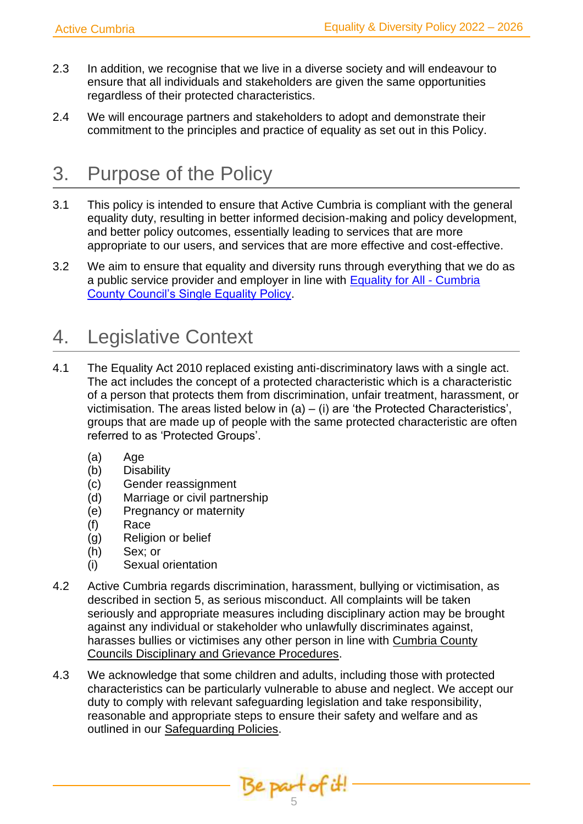- $2.3$ In addition, we recognise that we live in a diverse society and will endeavour to ensure that all individuals and stakeholders are given the same opportunities regardless of their protected characteristics.
- 2.4 We will encourage partners and stakeholders to adopt and demonstrate their commitment to the principles and practice of equality as set out in this Policy.

## 3. Purpose of the Policy

- 3.1 This policy is intended to ensure that Active Cumbria is compliant with the general equality duty, resulting in better informed decision-making and policy development, and better policy outcomes, essentially leading to services that are more appropriate to our users, and services that are more effective and cost-effective.
- 3.2 We aim to ensure that equality and diversity runs through everything that we do as a public service provider and employer in line with [Equality for All -](https://www.cumbria.gov.uk/equalities/default.asp) Cumbria [County Council's Single Equality Policy.](https://www.cumbria.gov.uk/equalities/default.asp)

### 4. Legislative Context

- 4.1 The Equality Act 2010 replaced existing anti-discriminatory laws with a single act. The act includes the concept of a protected characteristic which is a characteristic of a person that protects them from discrimination, unfair treatment, harassment, or victimisation. The areas listed below in  $(a) - (i)$  are 'the Protected Characteristics', groups that are made up of people with the same protected characteristic are often referred to as 'Protected Groups'.
	- (a) Age
	- (b) Disability
	- (c) Gender reassignment
	- (d) Marriage or civil partnership
	- (e) Pregnancy or maternity
	- (f) Race
	- (g) Religion or belief
	- (h) Sex; or
	- (i) Sexual orientation
- 4.2 Active Cumbria regards discrimination, harassment, bullying or victimisation, as described in section 5, as serious misconduct. All complaints will be taken seriously and appropriate measures including disciplinary action may be brought against any individual or stakeholder who unlawfully discriminates against, harasses bullies or victimises any other person in line with [Cumbria County](https://www.cumbria.gov.uk/hr/grievance_bullying_harassment/default.asp)  [Councils Disciplinary and Grievance Procedures.](https://www.cumbria.gov.uk/hr/grievance_bullying_harassment/default.asp)
- 4.3 We acknowledge that some children and adults, including those with protected characteristics can be particularly vulnerable to abuse and neglect. We accept our duty to comply with relevant safeguarding legislation and take responsibility, reasonable and appropriate steps to ensure their safety and welfare and as outlined in our [Safeguarding Policies.](https://www.activecumbria.org/workforce/safeinsport/)

Be part of it!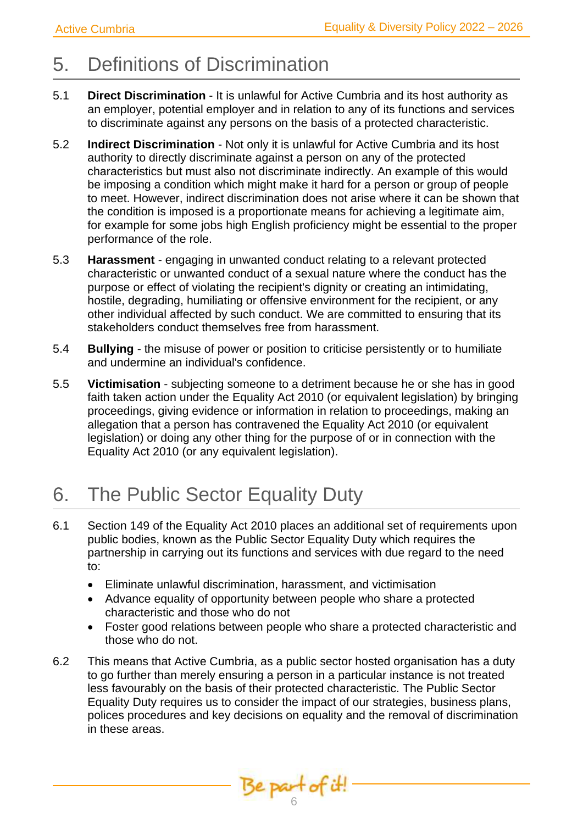#### 5. **Definitions of Discrimination**

- 5.1 **Direct Discrimination** It is unlawful for Active Cumbria and its host authority as an employer, potential employer and in relation to any of its functions and services to discriminate against any persons on the basis of a protected characteristic.
- 5.2 **Indirect Discrimination** Not only it is unlawful for Active Cumbria and its host authority to directly discriminate against a person on any of the protected characteristics but must also not discriminate indirectly. An example of this would be imposing a condition which might make it hard for a person or group of people to meet. However, indirect discrimination does not arise where it can be shown that the condition is imposed is a proportionate means for achieving a legitimate aim, for example for some jobs high English proficiency might be essential to the proper performance of the role.
- 5.3 **Harassment**  engaging in unwanted conduct relating to a relevant protected characteristic or unwanted conduct of a sexual nature where the conduct has the purpose or effect of violating the recipient's dignity or creating an intimidating, hostile, degrading, humiliating or offensive environment for the recipient, or any other individual affected by such conduct. We are committed to ensuring that its stakeholders conduct themselves free from harassment.
- 5.4 **Bullying** the misuse of power or position to criticise persistently or to humiliate and undermine an individual's confidence.
- 5.5 **Victimisation** subjecting someone to a detriment because he or she has in good faith taken action under the Equality Act 2010 (or equivalent legislation) by bringing proceedings, giving evidence or information in relation to proceedings, making an allegation that a person has contravened the Equality Act 2010 (or equivalent legislation) or doing any other thing for the purpose of or in connection with the Equality Act 2010 (or any equivalent legislation).

# 6. The Public Sector Equality Duty

- 6.1 Section 149 of the Equality Act 2010 places an additional set of requirements upon public bodies, known as the Public Sector Equality Duty which requires the partnership in carrying out its functions and services with due regard to the need to:
	- Eliminate unlawful discrimination, harassment, and victimisation
	- Advance equality of opportunity between people who share a protected characteristic and those who do not
	- Foster good relations between people who share a protected characteristic and those who do not.
- 6.2 This means that Active Cumbria, as a public sector hosted organisation has a duty to go further than merely ensuring a person in a particular instance is not treated less favourably on the basis of their protected characteristic. The Public Sector Equality Duty requires us to consider the impact of our strategies, business plans, polices procedures and key decisions on equality and the removal of discrimination in these areas.

Be part of it!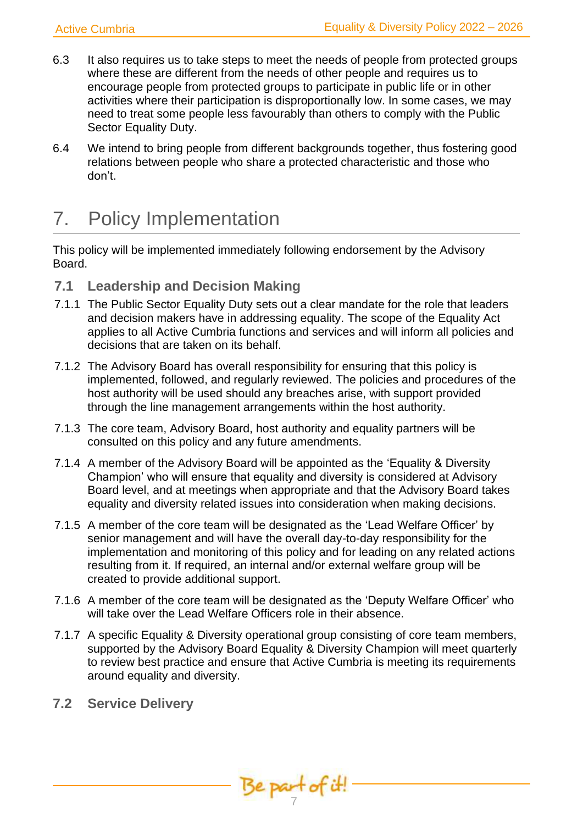- 6.3 It also requires us to take steps to meet the needs of people from protected groups where these are different from the needs of other people and requires us to encourage people from protected groups to participate in public life or in other activities where their participation is disproportionally low. In some cases, we may need to treat some people less favourably than others to comply with the Public Sector Equality Duty.
- 6.4 We intend to bring people from different backgrounds together, thus fostering good relations between people who share a protected characteristic and those who don't.

### 7. Policy Implementation

This policy will be implemented immediately following endorsement by the Advisory Board.

#### **7.1 Leadership and Decision Making**

- 7.1.1 The Public Sector Equality Duty sets out a clear mandate for the role that leaders and decision makers have in addressing equality. The scope of the Equality Act applies to all Active Cumbria functions and services and will inform all policies and decisions that are taken on its behalf.
- 7.1.2 The Advisory Board has overall responsibility for ensuring that this policy is implemented, followed, and regularly reviewed. The policies and procedures of the host authority will be used should any breaches arise, with support provided through the line management arrangements within the host authority.
- 7.1.3 The core team, Advisory Board, host authority and equality partners will be consulted on this policy and any future amendments.
- 7.1.4 A member of the Advisory Board will be appointed as the 'Equality & Diversity Champion' who will ensure that equality and diversity is considered at Advisory Board level, and at meetings when appropriate and that the Advisory Board takes equality and diversity related issues into consideration when making decisions.
- 7.1.5 A member of the core team will be designated as the 'Lead Welfare Officer' by senior management and will have the overall day-to-day responsibility for the implementation and monitoring of this policy and for leading on any related actions resulting from it. If required, an internal and/or external welfare group will be created to provide additional support.
- 7.1.6 A member of the core team will be designated as the 'Deputy Welfare Officer' who will take over the Lead Welfare Officers role in their absence.
- 7.1.7 A specific Equality & Diversity operational group consisting of core team members, supported by the Advisory Board Equality & Diversity Champion will meet quarterly to review best practice and ensure that Active Cumbria is meeting its requirements around equality and diversity.
- **7.2 Service Delivery**

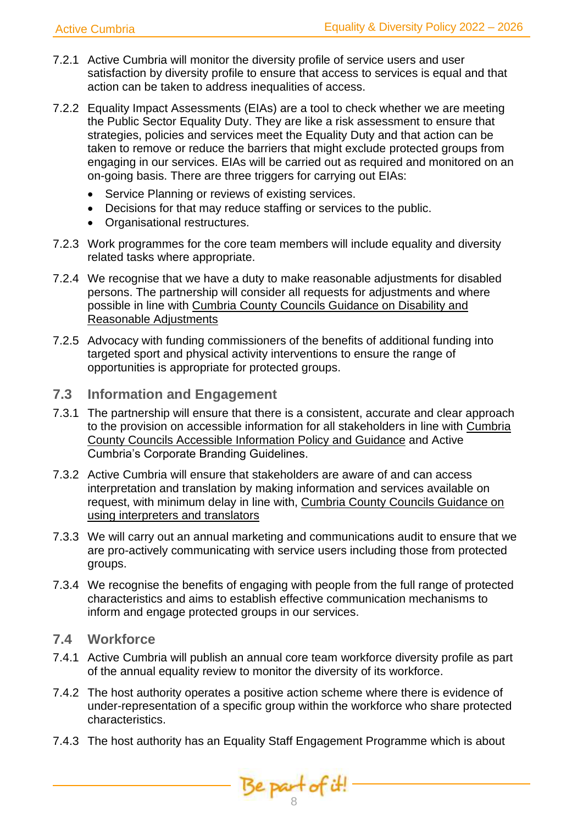- 7.2.1 Active Cumbria will monitor the diversity profile of service users and user satisfaction by diversity profile to ensure that access to services is equal and that action can be taken to address inequalities of access.
- 7.2.2 Equality Impact Assessments (EIAs) are a tool to check whether we are meeting the Public Sector Equality Duty. They are like a risk assessment to ensure that strategies, policies and services meet the Equality Duty and that action can be taken to remove or reduce the barriers that might exclude protected groups from engaging in our services. EIAs will be carried out as required and monitored on an on-going basis. There are three triggers for carrying out EIAs:
	- Service Planning or reviews of existing services.
	- Decisions for that may reduce staffing or services to the public.
	- Organisational restructures.
- 7.2.3 Work programmes for the core team members will include equality and diversity related tasks where appropriate.
- 7.2.4 We recognise that we have a duty to make reasonable adjustments for disabled persons. The partnership will consider all requests for adjustments and where possible in line with [Cumbria County Councils Guidance on Disability and](https://www.cumbria.gov.uk/hr/pay_benefits/default.asp)  [Reasonable Adjustments](https://www.cumbria.gov.uk/hr/pay_benefits/default.asp)
- 7.2.5 Advocacy with funding commissioners of the benefits of additional funding into targeted sport and physical activity interventions to ensure the range of opportunities is appropriate for protected groups.
- **7.3 Information and Engagement**
- 7.3.1 The partnership will ensure that there is a consistent, accurate and clear approach to the provision on accessible information for all stakeholders in line with [Cumbria](https://news.cumbria.gov.uk/information/accessibility.aspx?cookies=disable)  [County Councils Accessible Information Policy and Guidance](https://news.cumbria.gov.uk/information/accessibility.aspx?cookies=disable) and Active Cumbria's Corporate Branding Guidelines.
- 7.3.2 Active Cumbria will ensure that stakeholders are aware of and can access interpretation and translation by making information and services available on request, with minimum delay in line with, [Cumbria County Councils Guidance on](https://news.cumbria.gov.uk/information/accessibility.aspx)  [using interpreters and translators](https://news.cumbria.gov.uk/information/accessibility.aspx)
- 7.3.3 We will carry out an annual marketing and communications audit to ensure that we are pro-actively communicating with service users including those from protected groups.
- 7.3.4 We recognise the benefits of engaging with people from the full range of protected characteristics and aims to establish effective communication mechanisms to inform and engage protected groups in our services.

#### **7.4 Workforce**

- 7.4.1 Active Cumbria will publish an annual core team workforce diversity profile as part of the annual equality review to monitor the diversity of its workforce.
- 7.4.2 The host authority operates a positive action scheme where there is evidence of under-representation of a specific group within the workforce who share protected characteristics.
- 7.4.3 The host authority has an Equality Staff Engagement Programme which is about

Be part of it!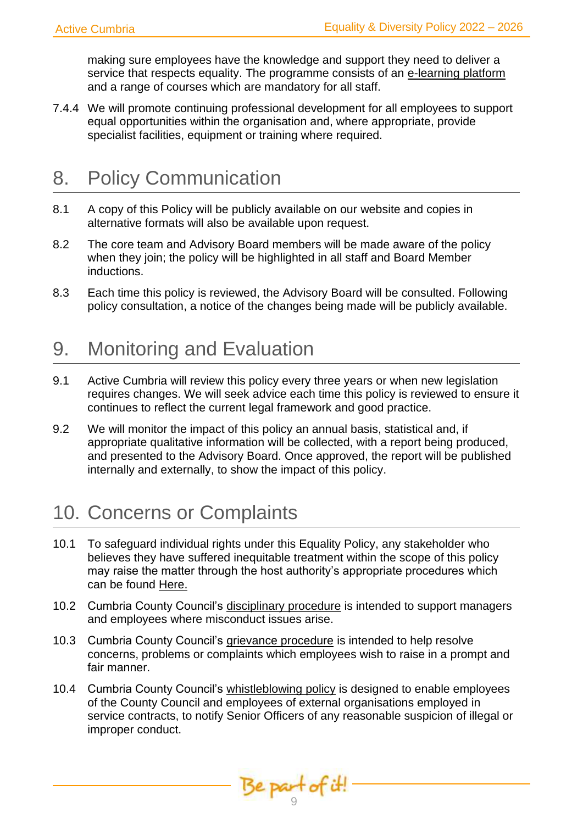making sure employees have the knowledge and support they need to deliver a service that respects equality. The programme consists of an [e-learning platform](https://cumbria.learningpool.com/login/index.php) and a range of courses which are mandatory for all staff.

7.4.4 We will promote continuing professional development for all employees to support equal opportunities within the organisation and, where appropriate, provide specialist facilities, equipment or training where required.

#### 8. Policy Communication

- 8.1 A copy of this Policy will be publicly available on our website and copies in alternative formats will also be available upon request.
- 8.2 The core team and Advisory Board members will be made aware of the policy when they join; the policy will be highlighted in all staff and Board Member inductions.
- 8.3 Each time this policy is reviewed, the Advisory Board will be consulted. Following policy consultation, a notice of the changes being made will be publicly available.

### 9. Monitoring and Evaluation

- 9.1 Active Cumbria will review this policy every three years or when new legislation requires changes. We will seek advice each time this policy is reviewed to ensure it continues to reflect the current legal framework and good practice.
- 9.2 We will monitor the impact of this policy an annual basis, statistical and, if appropriate qualitative information will be collected, with a report being produced, and presented to the Advisory Board. Once approved, the report will be published internally and externally, to show the impact of this policy.

# 10. Concerns or Complaints

- 10.1 To safeguard individual rights under this Equality Policy, any stakeholder who believes they have suffered inequitable treatment within the scope of this policy may raise the matter through the host authority's appropriate procedures which can be found [Here.](https://cumbria.gov.uk/council-democracy/accesstoinformation/internalreviewscomplaints.asp)
- 10.2 Cumbria County Council's [disciplinary](https://www.cumbria.gov.uk/hr/conduct_discipline/default.asp) procedure is intended to support managers and employees where misconduct issues arise.
- 10.3 Cumbria County Council's [grievance procedure](https://www.cumbria.gov.uk/hr/grievance_bullying_harassment/default.asp) is intended to help resolve concerns, problems or complaints which employees wish to raise in a prompt and fair manner.
- 10.4 Cumbria County Council's [whistleblowing policy](https://cumbria.gov.uk/council-democracy/constitution/part6/6e.asp) is designed to enable employees of the County Council and employees of external organisations employed in service contracts, to notify Senior Officers of any reasonable suspicion of illegal or improper conduct.

Be part of it!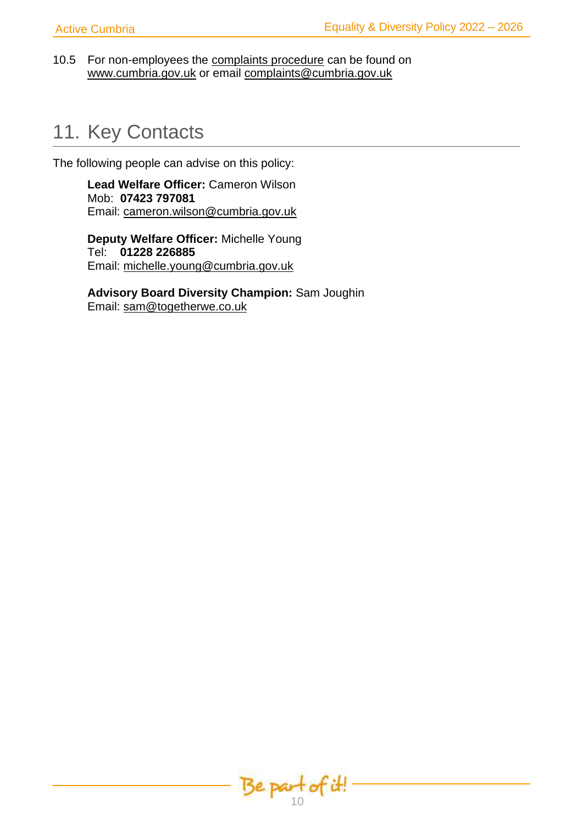10.5 For non-employees the [complaints procedure](https://cumbria.gov.uk/elibrary/content/internet/536/6357/43307101331.pdf?cookies=disable) can be found on [www.cumbria.gov.uk](http://www.cumbria.gov.uk/) or email [complaints@cumbria.gov.uk](mailto:complaints@cumbria.gov.uk)

# 11. Key Contacts

The following people can advise on this policy:

**Lead Welfare Officer:** Cameron Wilson Mob: **07423 797081** Email: [cameron.wilson@cumbria.gov.uk](mailto:cameron.wilson@cumbria.gov.uk)

**Deputy Welfare Officer:** Michelle Young Tel: **01228 226885** Email: [michelle.young@cumbria.gov.uk](mailto:michelle.young@cumbria.gov.uk)

**Advisory Board Diversity Champion:** Sam Joughin Email: [sam@togetherwe.co.uk](mailto:sam@togetherwe.co.uk)